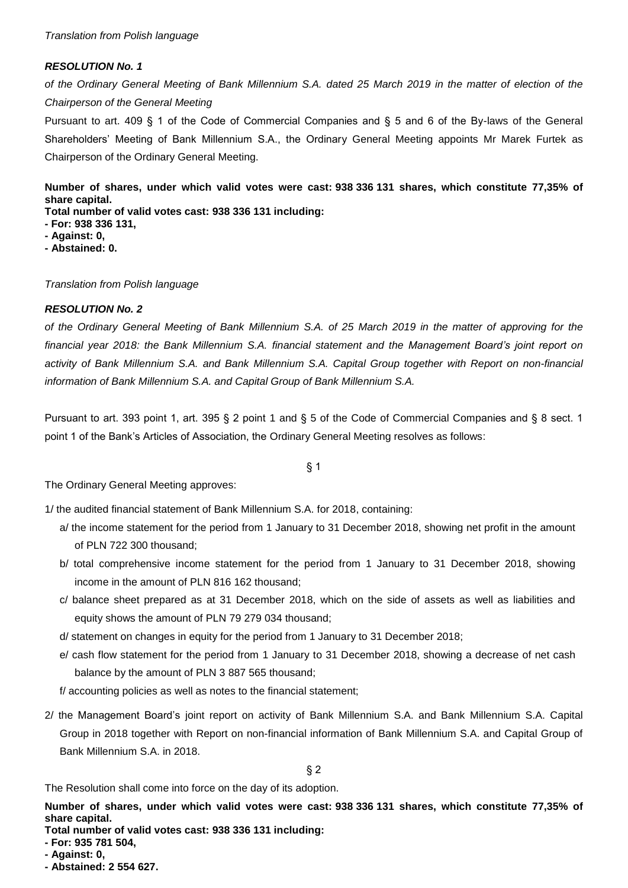*of the Ordinary General Meeting of Bank Millennium S.A. dated 25 March 2019 in the matter of election of the Chairperson of the General Meeting*

Pursuant to art. 409 § 1 of the Code of Commercial Companies and § 5 and 6 of the By-laws of the General Shareholders' Meeting of Bank Millennium S.A., the Ordinary General Meeting appoints Mr Marek Furtek as Chairperson of the Ordinary General Meeting.

**Number of shares, under which valid votes were cast: 938 336 131 shares, which constitute 77,35% of share capital. Total number of valid votes cast: 938 336 131 including:**

- **- For: 938 336 131,**
- **- Against: 0,**
- **- Abstained: 0.**

*Translation from Polish language* 

## *RESOLUTION No. 2*

*of the Ordinary General Meeting of Bank Millennium S.A. of 25 March 2019 in the matter of approving for the financial year 2018: the Bank Millennium S.A. financial statement and the Management Board's joint report on activity of Bank Millennium S.A. and Bank Millennium S.A. Capital Group together with Report on non-financial information of Bank Millennium S.A. and Capital Group of Bank Millennium S.A.*

Pursuant to art. 393 point 1, art. 395 § 2 point 1 and § 5 of the Code of Commercial Companies and § 8 sect. 1 point 1 of the Bank's Articles of Association, the Ordinary General Meeting resolves as follows:

§ 1

The Ordinary General Meeting approves:

1/ the audited financial statement of Bank Millennium S.A. for 2018, containing:

- a/ the income statement for the period from 1 January to 31 December 2018, showing net profit in the amount of PLN 722 300 thousand;
- b/ total comprehensive income statement for the period from 1 January to 31 December 2018, showing income in the amount of PLN 816 162 thousand;
- c/ balance sheet prepared as at 31 December 2018, which on the side of assets as well as liabilities and equity shows the amount of PLN 79 279 034 thousand;
- d/ statement on changes in equity for the period from 1 January to 31 December 2018;
- e/ cash flow statement for the period from 1 January to 31 December 2018, showing a decrease of net cash balance by the amount of PLN 3 887 565 thousand;

f/ accounting policies as well as notes to the financial statement;

2/ the Management Board's joint report on activity of Bank Millennium S.A. and Bank Millennium S.A. Capital Group in 2018 together with Report on non-financial information of Bank Millennium S.A. and Capital Group of Bank Millennium S.A. in 2018.

§ 2

The Resolution shall come into force on the day of its adoption.

**Number of shares, under which valid votes were cast: 938 336 131 shares, which constitute 77,35% of share capital.**

- **- For: 935 781 504,**
- **- Against: 0,**
- **- Abstained: 2 554 627.**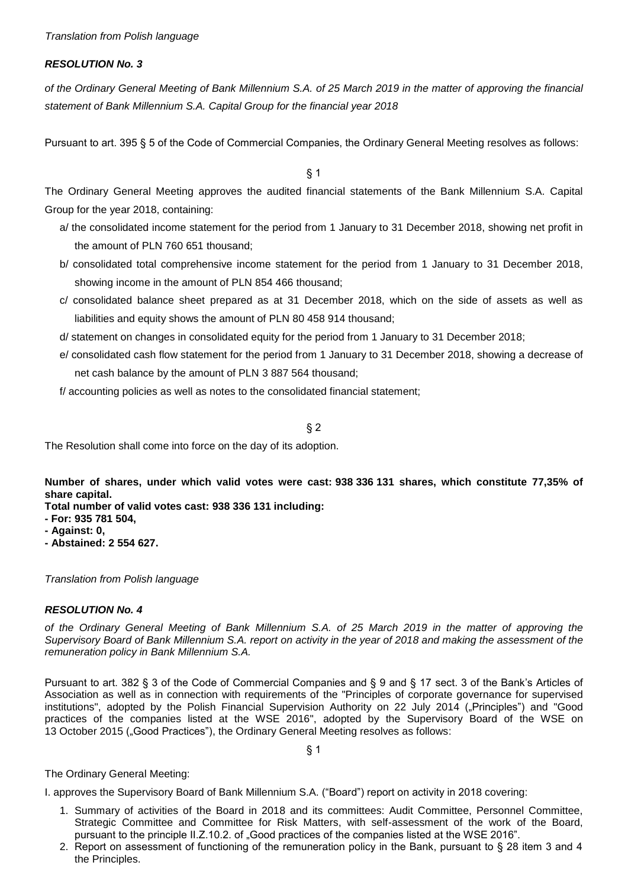*of the Ordinary General Meeting of Bank Millennium S.A. of 25 March 2019 in the matter of approving the financial statement of Bank Millennium S.A. Capital Group for the financial year 2018*

Pursuant to art. 395 § 5 of the Code of Commercial Companies, the Ordinary General Meeting resolves as follows:

§ 1

The Ordinary General Meeting approves the audited financial statements of the Bank Millennium S.A. Capital Group for the year 2018, containing:

- a/ the consolidated income statement for the period from 1 January to 31 December 2018, showing net profit in the amount of PLN 760 651 thousand;
- b/ consolidated total comprehensive income statement for the period from 1 January to 31 December 2018, showing income in the amount of PLN 854 466 thousand;
- c/ consolidated balance sheet prepared as at 31 December 2018, which on the side of assets as well as liabilities and equity shows the amount of PLN 80 458 914 thousand;
- d/ statement on changes in consolidated equity for the period from 1 January to 31 December 2018;
- e/ consolidated cash flow statement for the period from 1 January to 31 December 2018, showing a decrease of net cash balance by the amount of PLN 3 887 564 thousand;

f/ accounting policies as well as notes to the consolidated financial statement;

 $§$  2

The Resolution shall come into force on the day of its adoption.

**Number of shares, under which valid votes were cast: 938 336 131 shares, which constitute 77,35% of share capital.**

**Total number of valid votes cast: 938 336 131 including:**

- **- For: 935 781 504,**
- **- Against: 0,**
- **- Abstained: 2 554 627.**

*Translation from Polish language* 

## *RESOLUTION No. 4*

*of the Ordinary General Meeting of Bank Millennium S.A. of 25 March 2019 in the matter of approving the Supervisory Board of Bank Millennium S.A. report on activity in the year of 2018 and making the assessment of the remuneration policy in Bank Millennium S.A.*

Pursuant to art. 382 § 3 of the Code of Commercial Companies and § 9 and § 17 sect. 3 of the Bank's Articles of Association as well as in connection with requirements of the "Principles of corporate governance for supervised institutions", adopted by the Polish Financial Supervision Authority on 22 July 2014 ("Principles") and "Good practices of the companies listed at the WSE 2016", adopted by the Supervisory Board of the WSE on 13 October 2015 ("Good Practices"), the Ordinary General Meeting resolves as follows:

§ 1

The Ordinary General Meeting:

I. approves the Supervisory Board of Bank Millennium S.A. ("Board") report on activity in 2018 covering:

- 1. Summary of activities of the Board in 2018 and its committees: Audit Committee, Personnel Committee, Strategic Committee and Committee for Risk Matters, with self-assessment of the work of the Board, pursuant to the principle II.Z.10.2. of "Good practices of the companies listed at the WSE 2016".
- 2. Report on assessment of functioning of the remuneration policy in the Bank, pursuant to § 28 item 3 and 4 the Principles.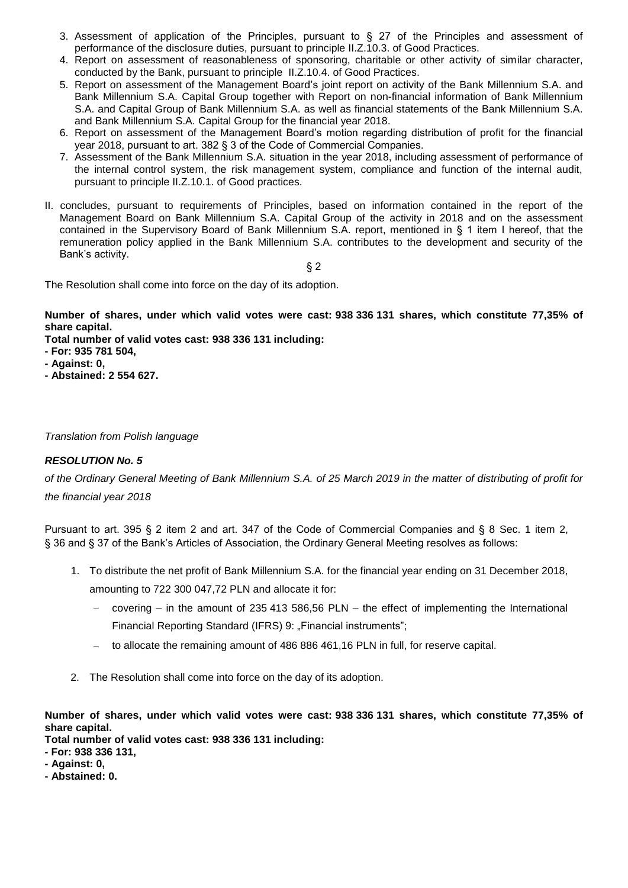- 3. Assessment of application of the Principles, pursuant to § 27 of the Principles and assessment of performance of the disclosure duties, pursuant to principle II.Z.10.3. of Good Practices.
- 4. Report on assessment of reasonableness of sponsoring, charitable or other activity of similar character, conducted by the Bank, pursuant to principle II.Z.10.4. of Good Practices.
- 5. Report on assessment of the Management Board's joint report on activity of the Bank Millennium S.A. and Bank Millennium S.A. Capital Group together with Report on non-financial information of Bank Millennium S.A. and Capital Group of Bank Millennium S.A. as well as financial statements of the Bank Millennium S.A. and Bank Millennium S.A. Capital Group for the financial year 2018.
- 6. Report on assessment of the Management Board's motion regarding distribution of profit for the financial year 2018, pursuant to art. 382 § 3 of the Code of Commercial Companies.
- 7. Assessment of the Bank Millennium S.A. situation in the year 2018, including assessment of performance of the internal control system, the risk management system, compliance and function of the internal audit, pursuant to principle II.Z.10.1. of Good practices.
- II. concludes, pursuant to requirements of Principles, based on information contained in the report of the Management Board on Bank Millennium S.A. Capital Group of the activity in 2018 and on the assessment contained in the Supervisory Board of Bank Millennium S.A. report, mentioned in § 1 item I hereof, that the remuneration policy applied in the Bank Millennium S.A. contributes to the development and security of the Bank's activity.

§ 2

The Resolution shall come into force on the day of its adoption.

**Number of shares, under which valid votes were cast: 938 336 131 shares, which constitute 77,35% of share capital.**

**Total number of valid votes cast: 938 336 131 including:**

- **- For: 935 781 504,**
- **- Against: 0,**
- **- Abstained: 2 554 627.**

#### *Translation from Polish language*

# *RESOLUTION No. 5*

*of the Ordinary General Meeting of Bank Millennium S.A. of 25 March 2019 in the matter of distributing of profit for the financial year 2018*

Pursuant to art. 395 § 2 item 2 and art. 347 of the Code of Commercial Companies and § 8 Sec. 1 item 2, § 36 and § 37 of the Bank's Articles of Association, the Ordinary General Meeting resolves as follows:

- 1. To distribute the net profit of Bank Millennium S.A. for the financial year ending on 31 December 2018,
	- amounting to 722 300 047,72 PLN and allocate it for:
		- covering in the amount of 235 413 586,56 PLN the effect of implementing the International Financial Reporting Standard (IFRS) 9: "Financial instruments";
	- to allocate the remaining amount of 486 886 461,16 PLN in full, for reserve capital.
- 2. The Resolution shall come into force on the day of its adoption.

**Number of shares, under which valid votes were cast: 938 336 131 shares, which constitute 77,35% of share capital.**

**Total number of valid votes cast: 938 336 131 including:**

**- For: 938 336 131,**

**- Against: 0,**

**- Abstained: 0.**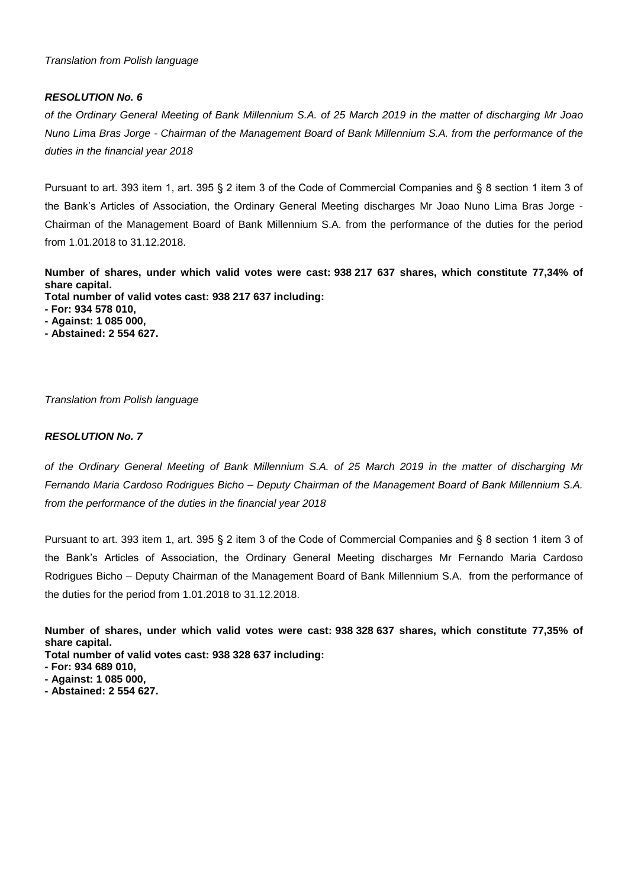*of the Ordinary General Meeting of Bank Millennium S.A. of 25 March 2019 in the matter of discharging Mr Joao Nuno Lima Bras Jorge - Chairman of the Management Board of Bank Millennium S.A. from the performance of the duties in the financial year 2018*

Pursuant to art. 393 item 1, art. 395 § 2 item 3 of the Code of Commercial Companies and § 8 section 1 item 3 of the Bank's Articles of Association, the Ordinary General Meeting discharges Mr Joao Nuno Lima Bras Jorge - Chairman of the Management Board of Bank Millennium S.A. from the performance of the duties for the period from 1.01.2018 to 31.12.2018.

**Number of shares, under which valid votes were cast: 938 217 637 shares, which constitute 77,34% of share capital.**

**Total number of valid votes cast: 938 217 637 including:**

- **- For: 934 578 010,**
- **- Against: 1 085 000,**
- **- Abstained: 2 554 627.**

*Translation from Polish language* 

# *RESOLUTION No. 7*

*of the Ordinary General Meeting of Bank Millennium S.A. of 25 March 2019 in the matter of discharging Mr Fernando Maria Cardoso Rodrigues Bicho – Deputy Chairman of the Management Board of Bank Millennium S.A. from the performance of the duties in the financial year 2018*

Pursuant to art. 393 item 1, art. 395 § 2 item 3 of the Code of Commercial Companies and § 8 section 1 item 3 of the Bank's Articles of Association, the Ordinary General Meeting discharges Mr Fernando Maria Cardoso Rodrigues Bicho – Deputy Chairman of the Management Board of Bank Millennium S.A. from the performance of the duties for the period from 1.01.2018 to 31.12.2018.

**Number of shares, under which valid votes were cast: 938 328 637 shares, which constitute 77,35% of share capital.**

- **- For: 934 689 010,**
- **- Against: 1 085 000,**
- **- Abstained: 2 554 627.**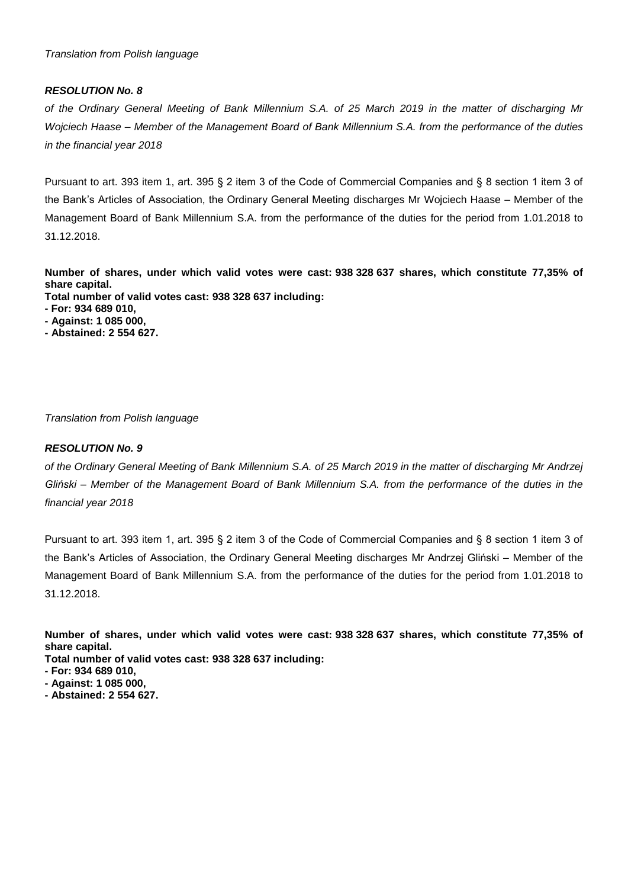*of the Ordinary General Meeting of Bank Millennium S.A. of 25 March 2019 in the matter of discharging Mr Wojciech Haase – Member of the Management Board of Bank Millennium S.A. from the performance of the duties in the financial year 2018*

Pursuant to art. 393 item 1, art. 395 § 2 item 3 of the Code of Commercial Companies and § 8 section 1 item 3 of the Bank's Articles of Association, the Ordinary General Meeting discharges Mr Wojciech Haase – Member of the Management Board of Bank Millennium S.A. from the performance of the duties for the period from 1.01.2018 to 31.12.2018.

**Number of shares, under which valid votes were cast: 938 328 637 shares, which constitute 77,35% of share capital.**

**Total number of valid votes cast: 938 328 637 including:**

- **- For: 934 689 010,**
- **- Against: 1 085 000,**
- **- Abstained: 2 554 627.**

*Translation from Polish language* 

## *RESOLUTION No. 9*

*of the Ordinary General Meeting of Bank Millennium S.A. of 25 March 2019 in the matter of discharging Mr Andrzej Gliński – Member of the Management Board of Bank Millennium S.A. from the performance of the duties in the financial year 2018*

Pursuant to art. 393 item 1, art. 395 § 2 item 3 of the Code of Commercial Companies and § 8 section 1 item 3 of the Bank's Articles of Association, the Ordinary General Meeting discharges Mr Andrzej Gliński – Member of the Management Board of Bank Millennium S.A. from the performance of the duties for the period from 1.01.2018 to 31.12.2018.

**Number of shares, under which valid votes were cast: 938 328 637 shares, which constitute 77,35% of share capital.**

- **- For: 934 689 010,**
- **- Against: 1 085 000,**
- **- Abstained: 2 554 627.**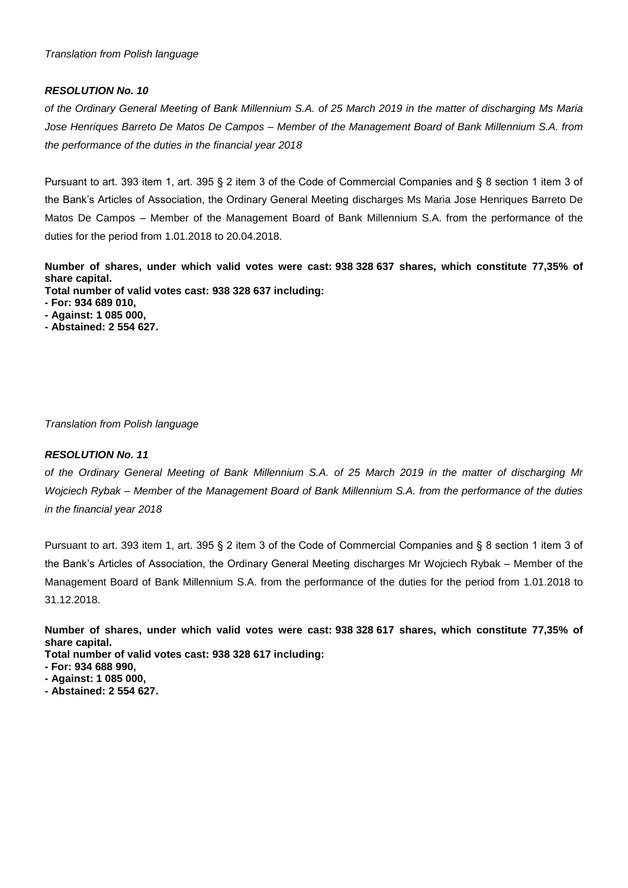*of the Ordinary General Meeting of Bank Millennium S.A. of 25 March 2019 in the matter of discharging Ms Maria Jose Henriques Barreto De Matos De Campos – Member of the Management Board of Bank Millennium S.A. from the performance of the duties in the financial year 2018*

Pursuant to art. 393 item 1, art. 395 § 2 item 3 of the Code of Commercial Companies and § 8 section 1 item 3 of the Bank's Articles of Association, the Ordinary General Meeting discharges Ms Maria Jose Henriques Barreto De Matos De Campos – Member of the Management Board of Bank Millennium S.A. from the performance of the duties for the period from 1.01.2018 to 20.04.2018.

**Number of shares, under which valid votes were cast: 938 328 637 shares, which constitute 77,35% of share capital. Total number of valid votes cast: 938 328 637 including:**

- **- For: 934 689 010,**
- **- Against: 1 085 000,**
- **- Abstained: 2 554 627.**

*Translation from Polish language* 

## *RESOLUTION No. 11*

*of the Ordinary General Meeting of Bank Millennium S.A. of 25 March 2019 in the matter of discharging Mr Wojciech Rybak – Member of the Management Board of Bank Millennium S.A. from the performance of the duties in the financial year 2018*

Pursuant to art. 393 item 1, art. 395 § 2 item 3 of the Code of Commercial Companies and § 8 section 1 item 3 of the Bank's Articles of Association, the Ordinary General Meeting discharges Mr Wojciech Rybak – Member of the Management Board of Bank Millennium S.A. from the performance of the duties for the period from 1.01.2018 to 31.12.2018.

- **Total number of valid votes cast: 938 328 617 including:**
- **- For: 934 688 990,**
- **- Against: 1 085 000,**
- **- Abstained: 2 554 627.**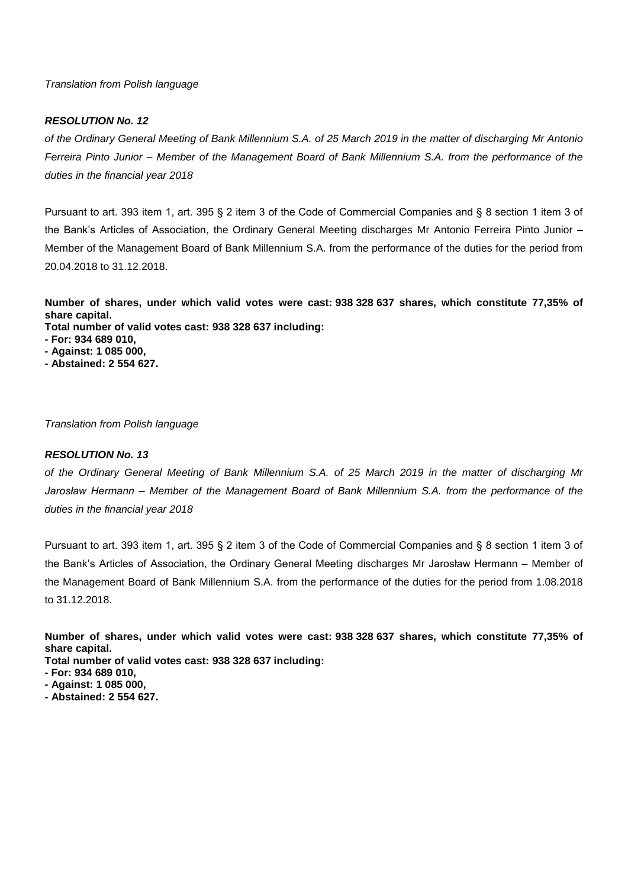#### *RESOLUTION No. 12*

*of the Ordinary General Meeting of Bank Millennium S.A. of 25 March 2019 in the matter of discharging Mr Antonio Ferreira Pinto Junior – Member of the Management Board of Bank Millennium S.A. from the performance of the duties in the financial year 2018*

Pursuant to art. 393 item 1, art. 395 § 2 item 3 of the Code of Commercial Companies and § 8 section 1 item 3 of the Bank's Articles of Association, the Ordinary General Meeting discharges Mr Antonio Ferreira Pinto Junior – Member of the Management Board of Bank Millennium S.A. from the performance of the duties for the period from 20.04.2018 to 31.12.2018.

**Number of shares, under which valid votes were cast: 938 328 637 shares, which constitute 77,35% of share capital.**

- **Total number of valid votes cast: 938 328 637 including:**
- **- For: 934 689 010,**
- **- Against: 1 085 000,**
- **- Abstained: 2 554 627.**

*Translation from Polish language* 

#### *RESOLUTION No. 13*

*of the Ordinary General Meeting of Bank Millennium S.A. of 25 March 2019 in the matter of discharging Mr Jarosław Hermann – Member of the Management Board of Bank Millennium S.A. from the performance of the duties in the financial year 2018*

Pursuant to art. 393 item 1, art. 395 § 2 item 3 of the Code of Commercial Companies and § 8 section 1 item 3 of the Bank's Articles of Association, the Ordinary General Meeting discharges Mr Jarosław Hermann – Member of the Management Board of Bank Millennium S.A. from the performance of the duties for the period from 1.08.2018 to 31.12.2018.

**Number of shares, under which valid votes were cast: 938 328 637 shares, which constitute 77,35% of share capital.**

- **- For: 934 689 010,**
- **- Against: 1 085 000,**
- **- Abstained: 2 554 627.**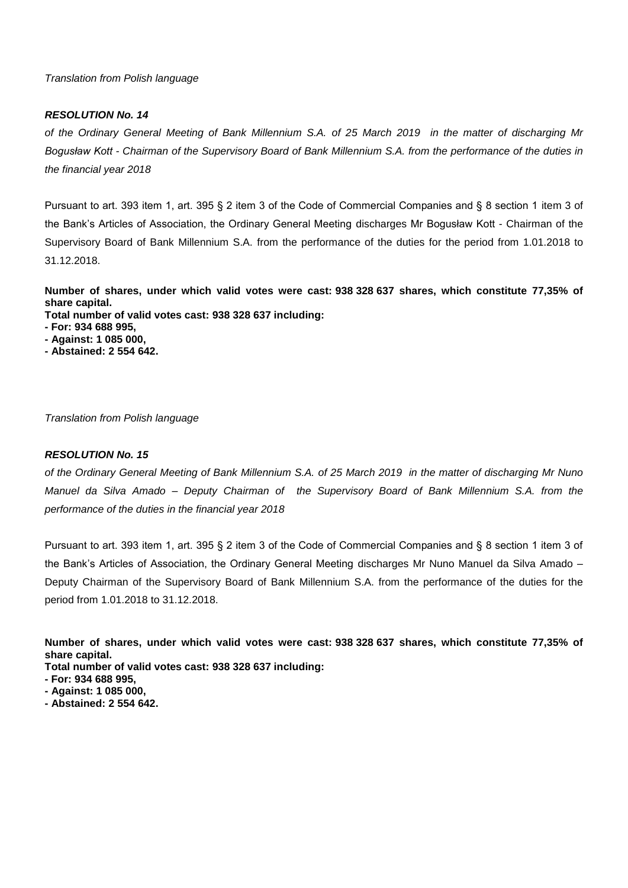## *RESOLUTION No. 14*

*of the Ordinary General Meeting of Bank Millennium S.A. of 25 March 2019 in the matter of discharging Mr Bogusław Kott - Chairman of the Supervisory Board of Bank Millennium S.A. from the performance of the duties in the financial year 2018*

Pursuant to art. 393 item 1, art. 395 § 2 item 3 of the Code of Commercial Companies and § 8 section 1 item 3 of the Bank's Articles of Association, the Ordinary General Meeting discharges Mr Bogusław Kott - Chairman of the Supervisory Board of Bank Millennium S.A. from the performance of the duties for the period from 1.01.2018 to 31.12.2018.

**Number of shares, under which valid votes were cast: 938 328 637 shares, which constitute 77,35% of share capital.**

**Total number of valid votes cast: 938 328 637 including:**

- **- For: 934 688 995,**
- **- Against: 1 085 000,**
- **- Abstained: 2 554 642.**

*Translation from Polish language* 

## *RESOLUTION No. 15*

*of the Ordinary General Meeting of Bank Millennium S.A. of 25 March 2019 in the matter of discharging Mr Nuno Manuel da Silva Amado – Deputy Chairman of the Supervisory Board of Bank Millennium S.A. from the performance of the duties in the financial year 2018*

Pursuant to art. 393 item 1, art. 395 § 2 item 3 of the Code of Commercial Companies and § 8 section 1 item 3 of the Bank's Articles of Association, the Ordinary General Meeting discharges Mr Nuno Manuel da Silva Amado – Deputy Chairman of the Supervisory Board of Bank Millennium S.A. from the performance of the duties for the period from 1.01.2018 to 31.12.2018.

- **Total number of valid votes cast: 938 328 637 including:**
- **- For: 934 688 995,**
- **- Against: 1 085 000,**
- **- Abstained: 2 554 642.**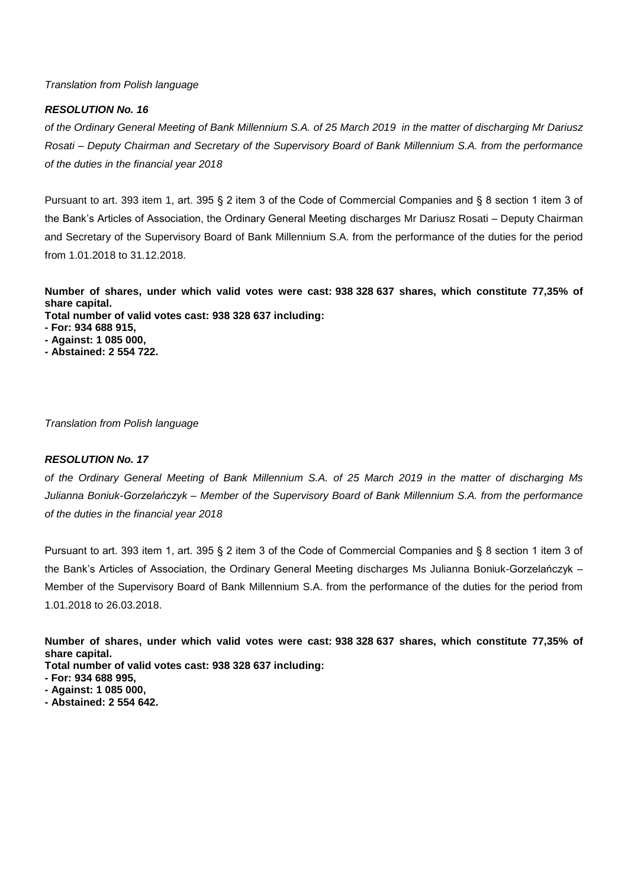#### *RESOLUTION No. 16*

*of the Ordinary General Meeting of Bank Millennium S.A. of 25 March 2019 in the matter of discharging Mr Dariusz Rosati – Deputy Chairman and Secretary of the Supervisory Board of Bank Millennium S.A. from the performance of the duties in the financial year 2018*

Pursuant to art. 393 item 1, art. 395 § 2 item 3 of the Code of Commercial Companies and § 8 section 1 item 3 of the Bank's Articles of Association, the Ordinary General Meeting discharges Mr Dariusz Rosati – Deputy Chairman and Secretary of the Supervisory Board of Bank Millennium S.A. from the performance of the duties for the period from 1.01.2018 to 31.12.2018.

**Number of shares, under which valid votes were cast: 938 328 637 shares, which constitute 77,35% of share capital.**

**Total number of valid votes cast: 938 328 637 including:**

- **- For: 934 688 915,**
- **- Against: 1 085 000,**
- **- Abstained: 2 554 722.**

*Translation from Polish language* 

# *RESOLUTION No. 17*

*of the Ordinary General Meeting of Bank Millennium S.A. of 25 March 2019 in the matter of discharging Ms Julianna Boniuk-Gorzelańczyk – Member of the Supervisory Board of Bank Millennium S.A. from the performance of the duties in the financial year 2018*

Pursuant to art. 393 item 1, art. 395 § 2 item 3 of the Code of Commercial Companies and § 8 section 1 item 3 of the Bank's Articles of Association, the Ordinary General Meeting discharges Ms Julianna Boniuk-Gorzelańczyk – Member of the Supervisory Board of Bank Millennium S.A. from the performance of the duties for the period from 1.01.2018 to 26.03.2018.

- **Total number of valid votes cast: 938 328 637 including:**
- **- For: 934 688 995,**
- **- Against: 1 085 000,**
- **- Abstained: 2 554 642.**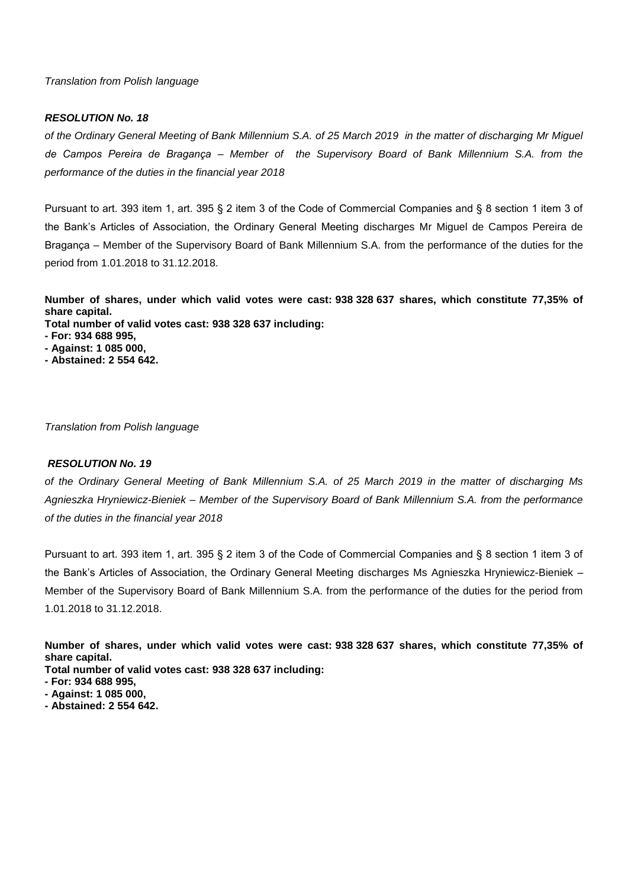## *RESOLUTION No. 18*

*of the Ordinary General Meeting of Bank Millennium S.A. of 25 March 2019 in the matter of discharging Mr Miguel de Campos Pereira de Bragança – Member of the Supervisory Board of Bank Millennium S.A. from the performance of the duties in the financial year 2018*

Pursuant to art. 393 item 1, art. 395 § 2 item 3 of the Code of Commercial Companies and § 8 section 1 item 3 of the Bank's Articles of Association, the Ordinary General Meeting discharges Mr Miguel de Campos Pereira de Bragança – Member of the Supervisory Board of Bank Millennium S.A. from the performance of the duties for the period from 1.01.2018 to 31.12.2018.

**Number of shares, under which valid votes were cast: 938 328 637 shares, which constitute 77,35% of share capital.**

- **Total number of valid votes cast: 938 328 637 including:**
- **- For: 934 688 995,**
- **- Against: 1 085 000,**
- **- Abstained: 2 554 642.**

*Translation from Polish language* 

#### *RESOLUTION No. 19*

*of the Ordinary General Meeting of Bank Millennium S.A. of 25 March 2019 in the matter of discharging Ms Agnieszka Hryniewicz-Bieniek – Member of the Supervisory Board of Bank Millennium S.A. from the performance of the duties in the financial year 2018*

Pursuant to art. 393 item 1, art. 395 § 2 item 3 of the Code of Commercial Companies and § 8 section 1 item 3 of the Bank's Articles of Association, the Ordinary General Meeting discharges Ms Agnieszka Hryniewicz-Bieniek – Member of the Supervisory Board of Bank Millennium S.A. from the performance of the duties for the period from 1.01.2018 to 31.12.2018.

- **Total number of valid votes cast: 938 328 637 including:**
- **- For: 934 688 995,**
- **- Against: 1 085 000,**
- **- Abstained: 2 554 642.**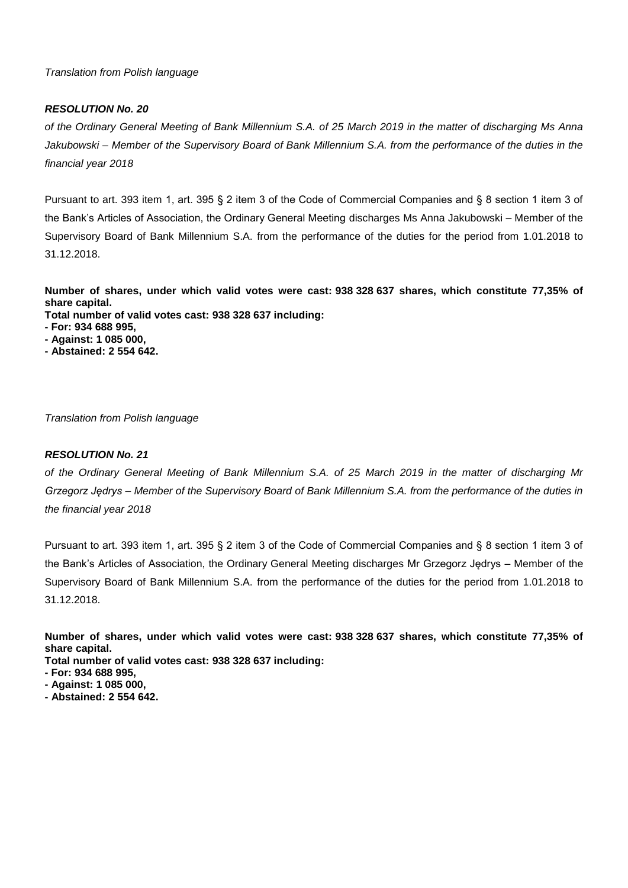## *RESOLUTION No. 20*

*of the Ordinary General Meeting of Bank Millennium S.A. of 25 March 2019 in the matter of discharging Ms Anna Jakubowski – Member of the Supervisory Board of Bank Millennium S.A. from the performance of the duties in the financial year 2018*

Pursuant to art. 393 item 1, art. 395 § 2 item 3 of the Code of Commercial Companies and § 8 section 1 item 3 of the Bank's Articles of Association, the Ordinary General Meeting discharges Ms Anna Jakubowski – Member of the Supervisory Board of Bank Millennium S.A. from the performance of the duties for the period from 1.01.2018 to 31.12.2018.

**Number of shares, under which valid votes were cast: 938 328 637 shares, which constitute 77,35% of share capital.**

**Total number of valid votes cast: 938 328 637 including:**

- **- For: 934 688 995,**
- **- Against: 1 085 000,**
- **- Abstained: 2 554 642.**

*Translation from Polish language* 

## *RESOLUTION No. 21*

*of the Ordinary General Meeting of Bank Millennium S.A. of 25 March 2019 in the matter of discharging Mr Grzegorz Jędrys – Member of the Supervisory Board of Bank Millennium S.A. from the performance of the duties in the financial year 2018*

Pursuant to art. 393 item 1, art. 395 § 2 item 3 of the Code of Commercial Companies and § 8 section 1 item 3 of the Bank's Articles of Association, the Ordinary General Meeting discharges Mr Grzegorz Jędrys – Member of the Supervisory Board of Bank Millennium S.A. from the performance of the duties for the period from 1.01.2018 to 31.12.2018.

- **Total number of valid votes cast: 938 328 637 including:**
- **- For: 934 688 995,**
- **- Against: 1 085 000,**
- **- Abstained: 2 554 642.**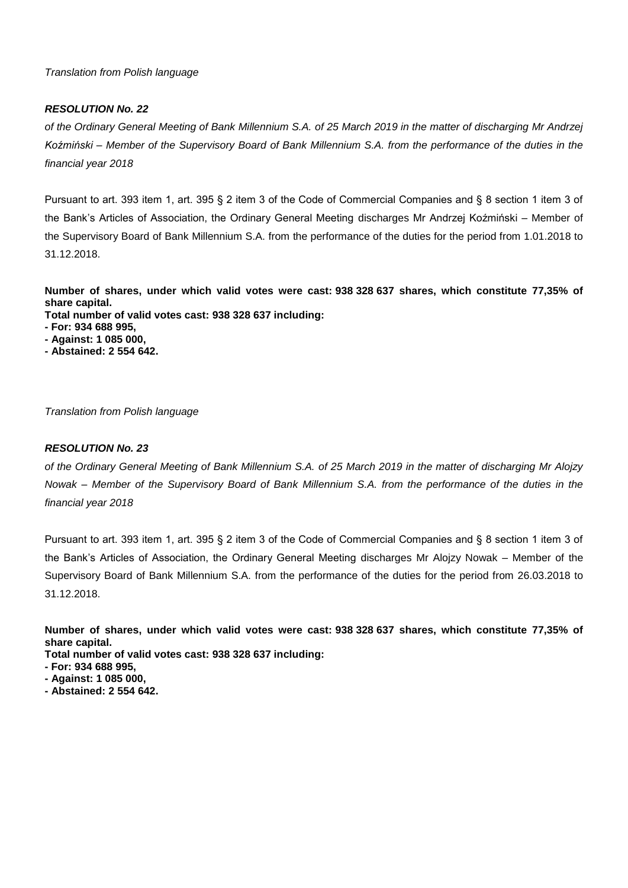## *RESOLUTION No. 22*

*of the Ordinary General Meeting of Bank Millennium S.A. of 25 March 2019 in the matter of discharging Mr Andrzej Koźmiński – Member of the Supervisory Board of Bank Millennium S.A. from the performance of the duties in the financial year 2018*

Pursuant to art. 393 item 1, art. 395 § 2 item 3 of the Code of Commercial Companies and § 8 section 1 item 3 of the Bank's Articles of Association, the Ordinary General Meeting discharges Mr Andrzej Koźmiński – Member of the Supervisory Board of Bank Millennium S.A. from the performance of the duties for the period from 1.01.2018 to 31.12.2018.

**Number of shares, under which valid votes were cast: 938 328 637 shares, which constitute 77,35% of share capital.**

**Total number of valid votes cast: 938 328 637 including:**

- **- For: 934 688 995,**
- **- Against: 1 085 000,**
- **- Abstained: 2 554 642.**

*Translation from Polish language* 

## *RESOLUTION No. 23*

*of the Ordinary General Meeting of Bank Millennium S.A. of 25 March 2019 in the matter of discharging Mr Alojzy Nowak – Member of the Supervisory Board of Bank Millennium S.A. from the performance of the duties in the financial year 2018*

Pursuant to art. 393 item 1, art. 395 § 2 item 3 of the Code of Commercial Companies and § 8 section 1 item 3 of the Bank's Articles of Association, the Ordinary General Meeting discharges Mr Alojzy Nowak – Member of the Supervisory Board of Bank Millennium S.A. from the performance of the duties for the period from 26.03.2018 to 31.12.2018.

**Number of shares, under which valid votes were cast: 938 328 637 shares, which constitute 77,35% of share capital.**

- **- For: 934 688 995,**
- **- Against: 1 085 000,**
- **- Abstained: 2 554 642.**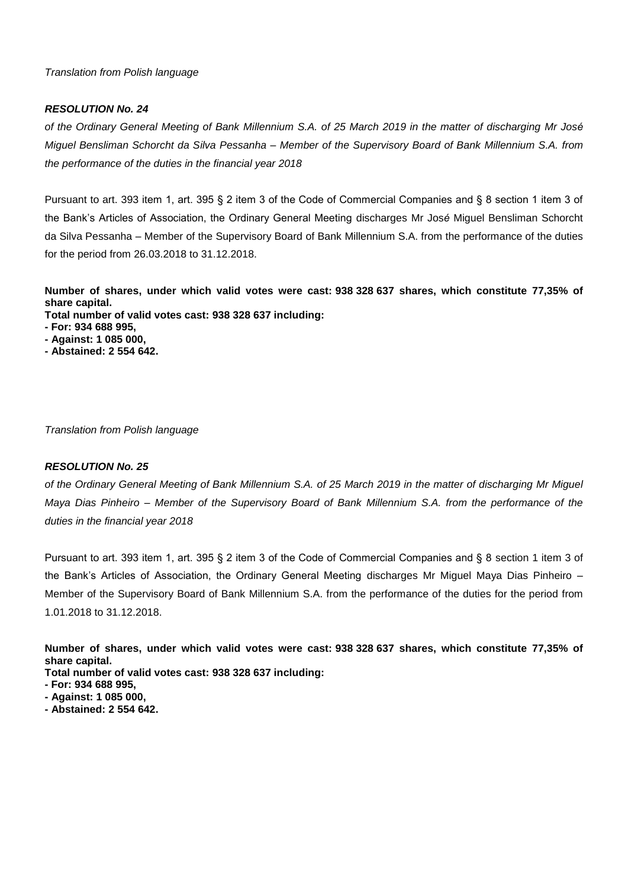## *RESOLUTION No. 24*

*of the Ordinary General Meeting of Bank Millennium S.A. of 25 March 2019 in the matter of discharging Mr José Miguel Bensliman Schorcht da Silva Pessanha – Member of the Supervisory Board of Bank Millennium S.A. from the performance of the duties in the financial year 2018*

Pursuant to art. 393 item 1, art. 395 § 2 item 3 of the Code of Commercial Companies and § 8 section 1 item 3 of the Bank's Articles of Association, the Ordinary General Meeting discharges Mr Jos*é* Miguel Bensliman Schorcht da Silva Pessanha – Member of the Supervisory Board of Bank Millennium S.A. from the performance of the duties for the period from 26.03.2018 to 31.12.2018.

**Number of shares, under which valid votes were cast: 938 328 637 shares, which constitute 77,35% of share capital.**

**Total number of valid votes cast: 938 328 637 including:**

- **- For: 934 688 995,**
- **- Against: 1 085 000,**
- **- Abstained: 2 554 642.**

*Translation from Polish language* 

## *RESOLUTION No. 25*

*of the Ordinary General Meeting of Bank Millennium S.A. of 25 March 2019 in the matter of discharging Mr Miguel Maya Dias Pinheiro – Member of the Supervisory Board of Bank Millennium S.A. from the performance of the duties in the financial year 2018*

Pursuant to art. 393 item 1, art. 395 § 2 item 3 of the Code of Commercial Companies and § 8 section 1 item 3 of the Bank's Articles of Association, the Ordinary General Meeting discharges Mr Miguel Maya Dias Pinheiro – Member of the Supervisory Board of Bank Millennium S.A. from the performance of the duties for the period from 1.01.2018 to 31.12.2018.

**Number of shares, under which valid votes were cast: 938 328 637 shares, which constitute 77,35% of share capital.**

- **- For: 934 688 995,**
- **- Against: 1 085 000,**
- **- Abstained: 2 554 642.**